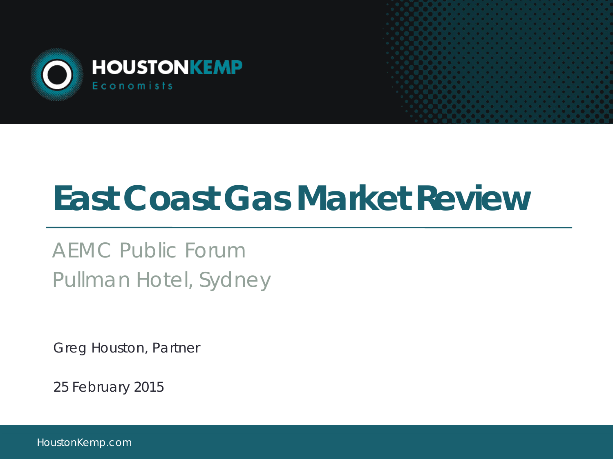

# **East Coast Gas Market Review**

AEMC Public Forum Pullman Hotel, Sydney

Greg Houston, Partner

25 February 2015

HoustonKemp.com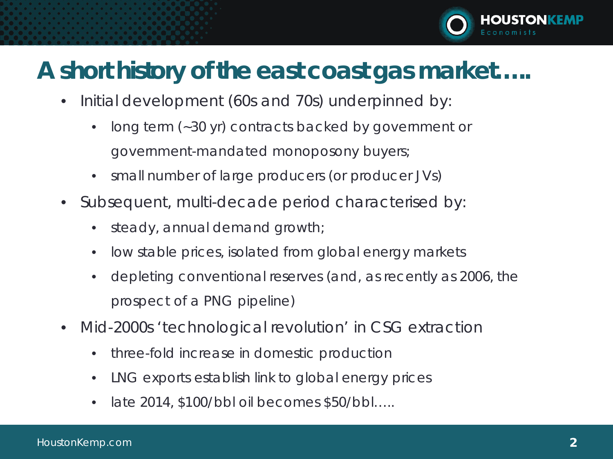

## **A short history of the east coast gas market…..**

- Initial development (60s and 70s) underpinned by:
	- long term (~30 yr) contracts backed by government or government-mandated monoposony buyers;
	- small number of large producers (or producer JVs)
- Subsequent, multi-decade period characterised by:
	- steady, annual demand growth;
	- low stable prices, isolated from global energy markets
	- depleting conventional reserves (and, as recently as 2006, the prospect of a PNG pipeline)
- Mid-2000s 'technological revolution' in CSG extraction
	- three-fold increase in domestic production
	- LNG exports establish link to global energy prices
	- late 2014, \$100/bbl oil becomes \$50/bbl…..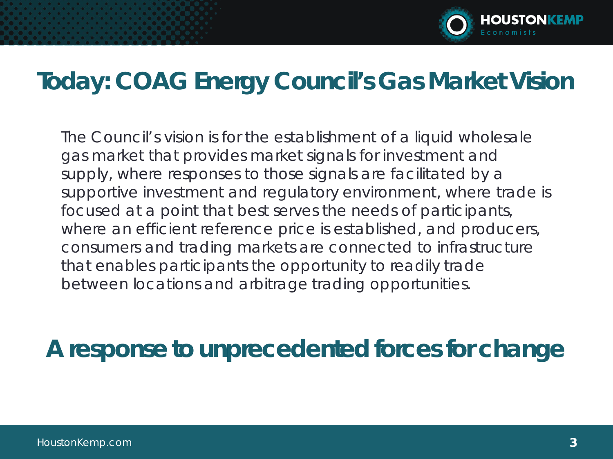

## **Today: COAG Energy Council's Gas Market Vision**

*The Council's vision is for the establishment of a liquid wholesale gas market that provides market signals for investment and supply, where responses to those signals are facilitated by a supportive investment and regulatory environment, where trade is focused at a point that best serves the needs of participants, where an efficient reference price is established, and producers, consumers and trading markets are connected to infrastructure that enables participants the opportunity to readily trade between locations and arbitrage trading opportunities.*

**A response to unprecedented forces for change**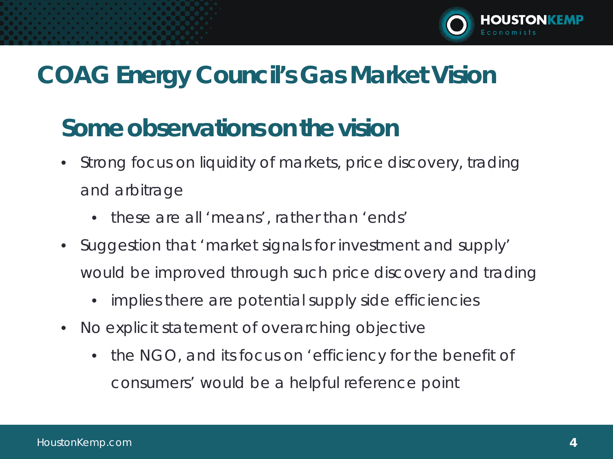

# **COAG Energy Council's Gas Market Vision**

## **Some observations on the vision**

- Strong focus on liquidity of markets, price discovery, trading and arbitrage
	- *these are all 'means', rather than 'ends'*
- Suggestion that 'market signals for investment and supply' would be improved through such price discovery and trading
	- *implies there are potential supply side efficiencies*
- No explicit statement of overarching objective
	- *the NGO, and its focus on 'efficiency for the benefit of consumers' would be a helpful reference point*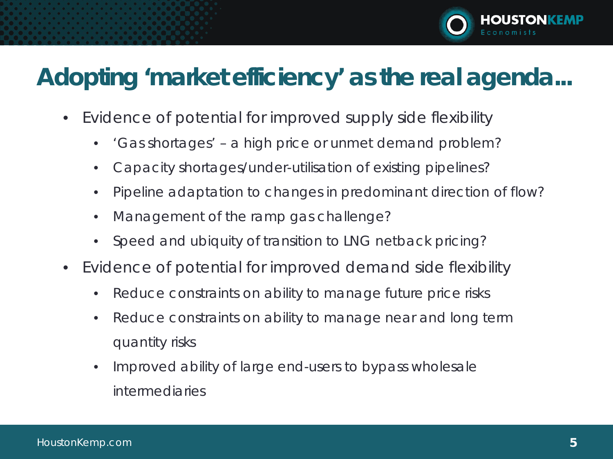

## **Adopting 'market efficiency' as the real agenda...**

- Evidence of potential for improved supply side flexibility
	- 'Gas shortages' a high price or unmet demand problem?
	- Capacity shortages/under-utilisation of existing pipelines?
	- Pipeline adaptation to changes in predominant direction of flow?
	- Management of the ramp gas challenge?
	- Speed and ubiquity of transition to LNG netback pricing?
- Evidence of potential for improved demand side flexibility
	- Reduce constraints on ability to manage future price risks
	- Reduce constraints on ability to manage near and long term quantity risks
	- Improved ability of large end-users to bypass wholesale intermediaries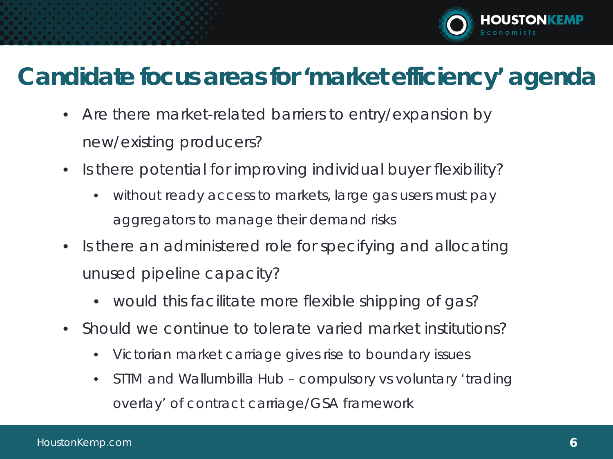

## **Candidate focus areas for 'market efficiency' agenda**

- Are there market-related barriers to entry/expansion by new/existing producers?
- Is there potential for improving individual buyer flexibility?
	- without ready access to markets, large gas users must pay aggregators to manage their demand risks
- Is there an administered role for specifying and allocating unused pipeline capacity?
	- would this facilitate more flexible shipping of gas?
- Should we continue to tolerate varied market institutions?
	- Victorian market carriage gives rise to boundary issues
	- STTM and Wallumbilla Hub compulsory vs voluntary 'trading overlay' of contract carriage/GSA framework